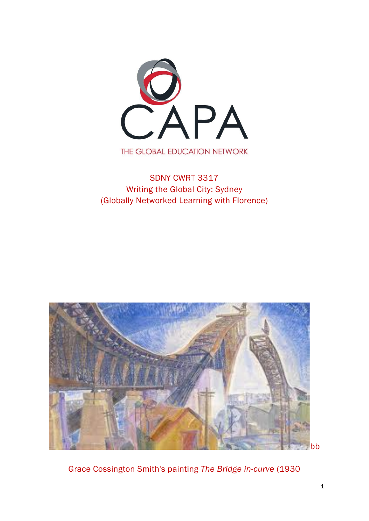

# SDNY CWRT 3317 Writing the Global City: Sydney (Globally Networked Learning with Florence)



Grace Cossington Smith's painting *The Bridge in-curve* (1930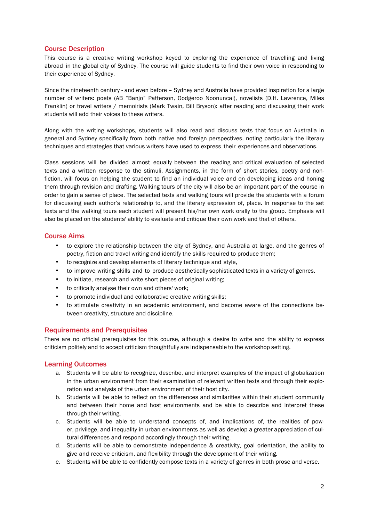# Course Description

This course is a creative writing workshop keyed to exploring the experience of travelling and living abroad in the global city of Sydney. The course will guide students to find their own voice in responding to their experience of Sydney.

Since the nineteenth century - and even before – Sydney and Australia have provided inspiration for a large number of writers: poets (AB "Banjo" Patterson, Oodgeroo Noonuncal), novelists (D.H. Lawrence, Miles Franklin) or travel writers / memoirists (Mark Twain, Bill Bryson): after reading and discussing their work students will add their voices to these writers.

Along with the writing workshops, students will also read and discuss texts that focus on Australia in general and Sydney specifically from both native and foreign perspectives, noting particularly the literary techniques and strategies that various writers have used to express their experiences and observations.

Class sessions will be divided almost equally between the reading and critical evaluation of selected texts and a written response to the stimuli. Assignments, in the form of short stories, poetry and nonfiction, will focus on helping the student to find an individual voice and on developing ideas and honing them through revision and drafting. Walking tours of the city will also be an important part of the course in order to gain a sense of place. The selected texts and walking tours will provide the students with a forum for discussing each author's relationship to, and the literary expression of, place. In response to the set texts and the walking tours each student will present his/her own work orally to the group. Emphasis will also be placed on the students' ability to evaluate and critique their own work and that of others.

# Course Aims

- to explore the relationship between the city of Sydney, and Australia at large, and the genres of poetry, fiction and travel writing and identify the skills required to produce them;
- to recognize and develop elements of literary technique and style,
- to improve writing skills and to produce aesthetically sophisticated texts in a variety of genres.
- to initiate, research and write short pieces of original writing;
- to critically analyse their own and others' work;
- to promote individual and collaborative creative writing skills;
- to stimulate creativity in an academic environment, and become aware of the connections between creativity, structure and discipline.

## Requirements and Prerequisites

There are no official prerequisites for this course, although a desire to write and the ability to express criticism politely and to accept criticism thoughtfully are indispensable to the workshop setting.

## Learning Outcomes

- a. Students will be able to recognize, describe, and interpret examples of the impact of globalization in the urban environment from their examination of relevant written texts and through their exploration and analysis of the urban environment of their host city.
- b. Students will be able to reflect on the differences and similarities within their student community and between their home and host environments and be able to describe and interpret these through their writing.
- c. Students will be able to understand concepts of, and implications of, the realities of power, privilege, and inequality in urban environments as well as develop a greater appreciation of cultural differences and respond accordingly through their writing.
- d. Students will be able to demonstrate independence & creativity, goal orientation, the ability to give and receive criticism, and flexibility through the development of their writing.
- e. Students will be able to confidently compose texts in a variety of genres in both prose and verse.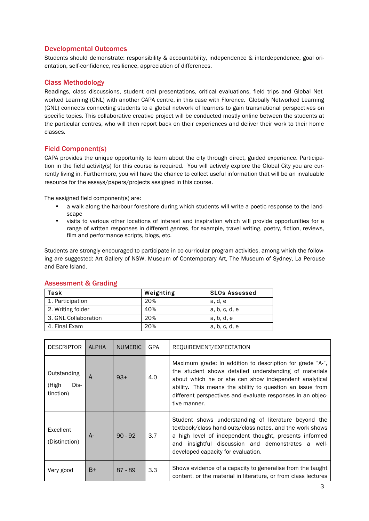# Developmental Outcomes

Students should demonstrate: responsibility & accountability, independence & interdependence, goal orientation, self-confidence, resilience, appreciation of differences.

# Class Methodology

Readings, class discussions, student oral presentations, critical evaluations, field trips and Global Networked Learning (GNL) with another CAPA centre, in this case with Florence. Globally Networked Learning (GNL) connects connecting students to a global network of learners to gain transnational perspectives on specific topics. This collaborative creative project will be conducted mostly online between the students at the particular centres, who will then report back on their experiences and deliver their work to their home classes.

# Field Component(s)

CAPA provides the unique opportunity to learn about the city through direct, guided experience. Participation in the field activity(s) for this course is required. You will actively explore the Global City you are currently living in. Furthermore, you will have the chance to collect useful information that will be an invaluable resource for the essays/papers/projects assigned in this course.

The assigned field component(s) are:

- a walk along the harbour foreshore during which students will write a poetic response to the landscape
- visits to various other locations of interest and inspiration which will provide opportunities for a range of written responses in different genres, for example, travel writing, poetry, fiction, reviews, film and performance scripts, blogs, etc.

Students are strongly encouraged to participate in co-curricular program activities, among which the following are suggested: Art Gallery of NSW, Museum of Contemporary Art, The Museum of Sydney, La Perouse and Bare Island.

| Task                 | Weighting | <b>SLOs Assessed</b> |
|----------------------|-----------|----------------------|
| 1. Participation     | 20%       | a, d, e              |
| 2. Writing folder    | 40%       | a, b, c, d, e        |
| 3. GNL Collaboration | 20%       | a, b, d, e           |
| 4. Final Exam        | 20%       | a, b, c, d, e        |

# Assessment & Grading

| <b>DESCRIPTOR</b>                         | <b>ALPHA</b> | <b>NUMERIC</b> | <b>GPA</b> | REQUIREMENT/EXPECTATION                                                                                                                                                                                                                                                                                                |
|-------------------------------------------|--------------|----------------|------------|------------------------------------------------------------------------------------------------------------------------------------------------------------------------------------------------------------------------------------------------------------------------------------------------------------------------|
| Outstanding<br>Dis-<br>(High<br>tinction) | A            | $93+$          | 4.0        | Maximum grade: In addition to description for grade "A-",<br>the student shows detailed understanding of materials<br>about which he or she can show independent analytical<br>ability. This means the ability to question an issue from<br>different perspectives and evaluate responses in an objec-<br>tive manner. |
| Excellent<br>(Distinction)                | $A-$         | $90 - 92$      | 3.7        | Student shows understanding of literature beyond the<br>textbook/class hand-outs/class notes, and the work shows<br>a high level of independent thought, presents informed<br>insightful discussion and demonstrates a well-<br>and<br>developed capacity for evaluation.                                              |
| Very good                                 | B+           | $87 - 89$      | 3.3        | Shows evidence of a capacity to generalise from the taught<br>content, or the material in literature, or from class lectures                                                                                                                                                                                           |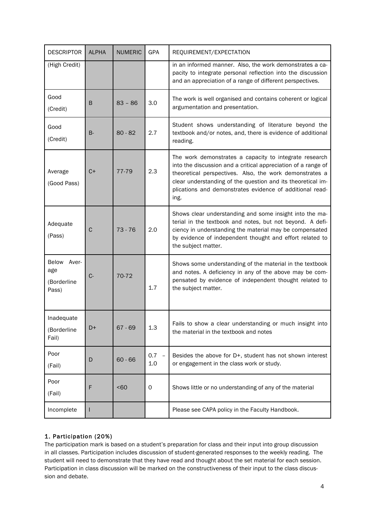| <b>DESCRIPTOR</b>                          | <b>ALPHA</b> | <b>NUMERIC</b> | GPA                                    | REQUIREMENT/EXPECTATION                                                                                                                                                                                                                                                                                               |
|--------------------------------------------|--------------|----------------|----------------------------------------|-----------------------------------------------------------------------------------------------------------------------------------------------------------------------------------------------------------------------------------------------------------------------------------------------------------------------|
| (High Credit)                              |              |                |                                        | in an informed manner. Also, the work demonstrates a ca-<br>pacity to integrate personal reflection into the discussion<br>and an appreciation of a range of different perspectives.                                                                                                                                  |
| Good<br>(Credit)                           | B            | $83 - 86$      | 3.0                                    | The work is well organised and contains coherent or logical<br>argumentation and presentation.                                                                                                                                                                                                                        |
| Good<br>(Credit)                           | <b>B-</b>    | $80 - 82$      | 2.7                                    | Student shows understanding of literature beyond the<br>textbook and/or notes, and, there is evidence of additional<br>reading.                                                                                                                                                                                       |
| Average<br>(Good Pass)                     | $C+$         | 77-79          | 2.3                                    | The work demonstrates a capacity to integrate research<br>into the discussion and a critical appreciation of a range of<br>theoretical perspectives. Also, the work demonstrates a<br>clear understanding of the question and its theoretical im-<br>plications and demonstrates evidence of additional read-<br>ing. |
| Adequate<br>(Pass)                         | C            | $73 - 76$      | 2.0                                    | Shows clear understanding and some insight into the ma-<br>terial in the textbook and notes, but not beyond. A defi-<br>ciency in understanding the material may be compensated<br>by evidence of independent thought and effort related to<br>the subject matter.                                                    |
| Below Aver-<br>age<br>(Borderline<br>Pass) | $C -$        | 70-72          | 1.7                                    | Shows some understanding of the material in the textbook<br>and notes. A deficiency in any of the above may be com-<br>pensated by evidence of independent thought related to<br>the subject matter.                                                                                                                  |
| Inadequate<br>(Borderline<br>Fail)         | D+           | $67 - 69$      | 1.3                                    | Fails to show a clear understanding or much insight into<br>the material in the textbook and notes                                                                                                                                                                                                                    |
| Poor<br>(Fail)                             | D            | $60 - 66$      | 0.7<br>$\overline{\phantom{a}}$<br>1.0 | Besides the above for D+, student has not shown interest<br>or engagement in the class work or study.                                                                                                                                                                                                                 |
| Poor<br>(Fail)                             | F            | < 60           | 0                                      | Shows little or no understanding of any of the material                                                                                                                                                                                                                                                               |
| Incomplete                                 |              |                |                                        | Please see CAPA policy in the Faculty Handbook.                                                                                                                                                                                                                                                                       |

# 1. Participation (20%)

The participation mark is based on a student's preparation for class and their input into group discussion in all classes. Participation includes discussion of student-generated responses to the weekly reading. The student will need to demonstrate that they have read and thought about the set material for each session. Participation in class discussion will be marked on the constructiveness of their input to the class discussion and debate.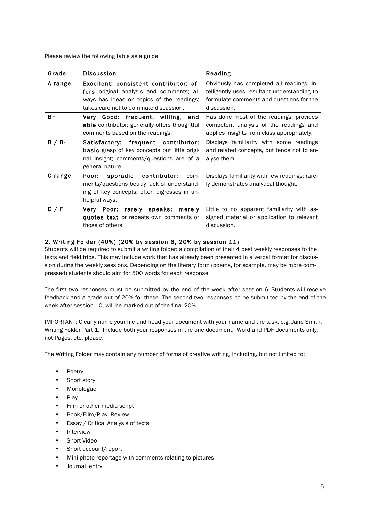Please review the following table as a guide:

| Grade   | <b>Discussion</b>                                                                                                                                                         | Reading                                                                                                                                             |
|---------|---------------------------------------------------------------------------------------------------------------------------------------------------------------------------|-----------------------------------------------------------------------------------------------------------------------------------------------------|
| A range | Excellent: consistent contributor; of-<br>fers original analysis and comments; al-<br>ways has ideas on topics of the readings;<br>takes care not to dominate discussion. | Obviously has completed all readings; in-<br>telligently uses resultant understanding to<br>formulate comments and questions for the<br>discussion. |
| $B+$    | Very Good: frequent, willing, and<br>able contributor; generally offers thoughtful<br>comments based on the readings.                                                     | Has done most of the readings; provides<br>competent analysis of the readings and<br>applies insights from class appropriately.                     |
| B / B   | Satisfactory: frequent contributor;<br><b>basic</b> grasp of key concepts but little origi-<br>nal insight; comments/questions are of a<br>general nature.                | Displays familiarity with some readings<br>and related concepts, but tends not to an-<br>alyse them.                                                |
| C range | Poor: sporadic contributor;<br>com-<br>ments/questions betray lack of understand-<br>ing of key concepts; often digresses in un-<br>helpful ways.                         | Displays familiarity with few readings; rare-<br>ly demonstrates analytical thought.                                                                |
| D / F   | Very Poor: rarely speaks;<br>merely<br>quotes text or repeats own comments or<br>those of others.                                                                         | Little to no apparent familiarity with as-<br>signed material or application to relevant<br>discussion.                                             |

# 2. Writing Folder (40%) (20% by session 6, 20% by session 11)

Students will be required to submit a writing folder: a compilation of their 4 best weekly responses to the texts and field trips. This may include work that has already been presented in a verbal format for discussion during the weekly sessions. Depending on the literary form (poems, for example, may be more compressed) students should aim for 500 words for each response.

The first two responses must be submitted by the end of the week after session 6. Students will receive feedback and a grade out of 20% for these. The second two responses, to be submit-ted by the end of the week after session 10, will be marked out of the final 20%.

IMPORTANT: Clearly name your file and head your document with your name and the task, e.g. Jane Smith, Writing Folder Part 1. Include both your responses in the one document. Word and PDF documents only, not Pages, etc, please.

The Writing Folder may contain any number of forms of creative writing, including, but not limited to:

- Poetry
- Short story
- Monologue
- Play
- Film or other media script
- Book/Film/Play Review
- Essay / Critical Analysis of texts
- **Interview**
- Short Video
- Short account/report
- Mini photo reportage with comments relating to pictures
- Journal entry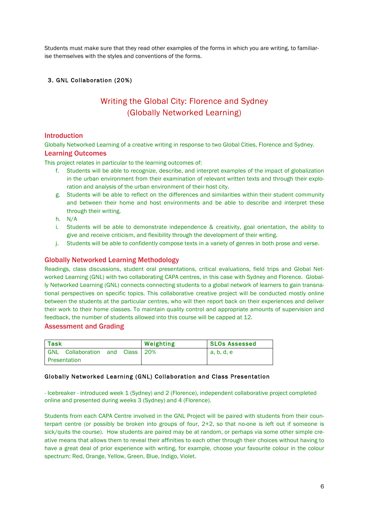Students must make sure that they read other examples of the forms in which you are writing, to familiarise themselves with the styles and conventions of the forms.

# 3. GNL Collaboration (20%)

# Writing the Global City: Florence and Sydney (Globally Networked Learning)

# Introduction

Globally Networked Learning of a creative writing in response to two Global Cities, Florence and Sydney.

# Learning Outcomes

This project relates in particular to the learning outcomes of:

- f. Students will be able to recognize, describe, and interpret examples of the impact of globalization in the urban environment from their examination of relevant written texts and through their exploration and analysis of the urban environment of their host city.
- g. Students will be able to reflect on the differences and similarities within their student community and between their home and host environments and be able to describe and interpret these through their writing.
- h. N/A
- i. Students will be able to demonstrate independence & creativity, goal orientation, the ability to give and receive criticism, and flexibility through the development of their writing.
- j. Students will be able to confidently compose texts in a variety of genres in both prose and verse.

# Globally Networked Learning Methodology

Readings, class discussions, student oral presentations, critical evaluations, field trips and Global Networked Learning (GNL) with two collaborating CAPA centres, in this case with Sydney and Florence. Globally Networked Learning (GNL) connects connecting students to a global network of learners to gain transnational perspectives on specific topics. This collaborative creative project will be conducted mostly online between the students at the particular centres, who will then report back on their experiences and deliver their work to their home classes. To maintain quality control and appropriate amounts of supervision and feedback, the number of students allowed into this course will be capped at 12.

## Assessment and Grading

| <b>Task</b> |                                 |  | Weighting | <b>SLOs Assessed</b> |
|-------------|---------------------------------|--|-----------|----------------------|
|             | GNL Collaboration and Class 20% |  |           | a, b, d, e           |
|             | Presentation                    |  |           |                      |

## Globally Networked Learning (GNL) Collaboration and Class Presentation

- Icebreaker - introduced week 1 (Sydney) and 2 (Florence), independent collaborative project completed online and presented during weeks 3 (Sydney) and 4 (Florence).

Students from each CAPA Centre involved in the GNL Project will be paired with students from their counterpart centre (or possibly be broken into groups of four, 2+2, so that no-one is left out if someone is sick/quits the course). How students are paired may be at random, or perhaps via some other simple creative means that allows them to reveal their affinities to each other through their choices without having to have a great deal of prior experience with writing, for example, choose your favourite colour in the colour spectrum: Red, Orange, Yellow, Green, Blue, Indigo, Violet.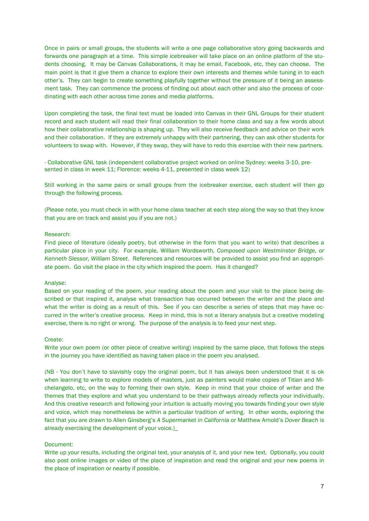Once in pairs or small groups, the students will write a one page collaborative story going backwards and forwards one paragraph at a time. This simple icebreaker will take place on an online platform of the students choosing. It may be Canvas Collaborations, it may be email, Facebook, etc, they can choose. The main point is that it give them a chance to explore their own interests and themes while tuning in to each other's. They can begin to create something playfully together without the pressure of it being an assessment task. They can commence the process of finding out about each other and also the process of coordinating with each other across time zones and media platforms.

Upon completing the task, the final text must be loaded into Canvas in their GNL Groups for their student record and each student will read their final collaboration to their home class and say a few words about how their collaborative relationship is shaping up. They will also receive feedback and advice on their work and their collaboration. If they are extremely unhappy with their partnering, they can ask other students for volunteers to swap with. However, if they swap, they will have to redo this exercise with their new partners.

- Collaborative GNL task (independent collaborative project worked on online Sydney: weeks 3-10, presented in class in week 11; Florence: weeks 4-11, presented in class week 12)

Still working in the same pairs or small groups from the icebreaker exercise, each student will then go through the following process.

(Please note, you must check in with your home class teacher at each step along the way so that they know that you are on track and assist you if you are not.)

#### Research:

Find piece of literature (ideally poetry, but otherwise in the form that you want to write) that describes a particular place in your city. For example, William Wordsworth, *Composed upon Westminster Bridge, or Kenneth Slessor, William Street*. References and resources will be provided to assist you find an appropriate poem. Go visit the place in the city which inspired the poem. Has it changed?

#### Analyse:

Based on your reading of the poem, your reading about the poem and your visit to the place being described or that inspired it, analyse what transaction has occurred between the writer and the place and what the writer is doing as a result of this. See if you can describe a series of steps that may have occurred in the writer's creative process. Keep in mind, this is not a literary analysis but a creative modeling exercise, there is no right or wrong. The purpose of the analysis is to feed your next step.

#### Create:

Write your own poem (or other piece of creative writing) inspired by the same place, that follows the steps in the journey you have identified as having taken place in the poem you analysed.

(NB - You don't have to slavishly copy the original poem, but it has always been understood that it is ok when learning to write to explore models of masters, just as painters would make copies of Titian and Michelangelo, etc, on the way to forming their own style. Keep in mind that your choice of writer and the themes that they explore and what you understand to be their pathways already reflects your individually. And this creative research and following your intuition is actually moving you towards finding your own style and voice, which may nonetheless be within a particular tradition of writing. In other words, exploring the fact that you are drawn to Allen Ginsberg's *A Supermarket in California* or Matthew Arnold's *Dover Beach* is already exercising the development of your voice.)\_

#### Document:

Write up your results, including the original text, your analysis of it, and your new text. Optionally, you could also post online images or video of the place of inspiration and read the original and your new poems in the place of inspiration or nearby if possible.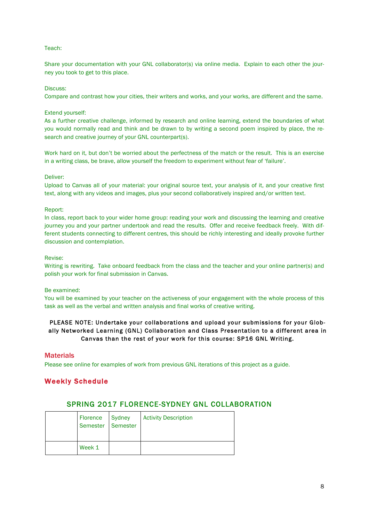### Teach:

Share your documentation with your GNL collaborator(s) via online media. Explain to each other the journey you took to get to this place.

#### Discuss:

Compare and contrast how your cities, their writers and works, and your works, are different and the same.

#### Extend yourself:

As a further creative challenge, informed by research and online learning, extend the boundaries of what you would normally read and think and be drawn to by writing a second poem inspired by place, the research and creative journey of your GNL counterpart(s).

Work hard on it, but don't be worried about the perfectness of the match or the result. This is an exercise in a writing class, be brave, allow yourself the freedom to experiment without fear of 'failure'.

#### Deliver:

Upload to Canvas all of your material: your original source text, your analysis of it, and your creative first text, along with any videos and images, plus your second collaboratively inspired and/or written text.

#### Report:

In class, report back to your wider home group: reading your work and discussing the learning and creative journey you and your partner undertook and read the results. Offer and receive feedback freely. With different students connecting to different centres, this should be richly interesting and ideally provoke further discussion and contemplation.

#### Revise:

Writing is rewriting. Take onboard feedback from the class and the teacher and your online partner(s) and polish your work for final submission in Canvas.

#### Be examined:

You will be examined by your teacher on the activeness of your engagement with the whole process of this task as well as the verbal and written analysis and final works of creative writing.

# PLEASE NOTE: Undertake your collaborations and upload your submissions for your Globally Networked Learning (GNL) Collaboration and Class Presentation to a different area in Canvas than the rest of your work for this course: SP16 GNL Writing.

#### **Materials**

Please see online for examples of work from previous GNL iterations of this project as a guide.

## Weekly Schedule

# SPRING 2017 FLORENCE-SYDNEY GNL COLLABORATION

|  | Florence<br>Semester Semester | Sydney | <b>Activity Description</b> |
|--|-------------------------------|--------|-----------------------------|
|  | Week 1                        |        |                             |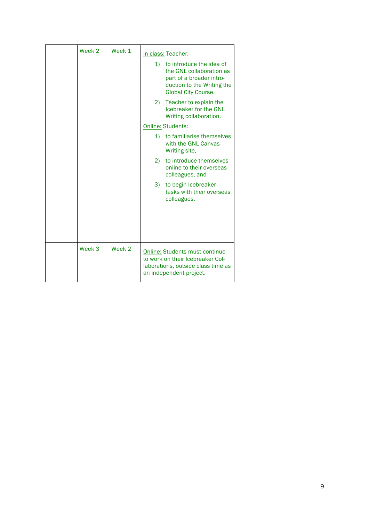| Week 2 | Week 1 |              | In class: Teacher:                                                                                                                           |
|--------|--------|--------------|----------------------------------------------------------------------------------------------------------------------------------------------|
|        |        | 1)           | to introduce the idea of<br>the GNL collaboration as<br>part of a broader intro-<br>duction to the Writing the<br><b>Global City Course.</b> |
|        |        | 2)           | Teacher to explain the<br>Icebreaker for the GNL<br>Writing collaboration.                                                                   |
|        |        |              | <b>Online: Students:</b>                                                                                                                     |
|        |        | $\mathbf{1}$ | to familiarise themselves<br>with the GNL Canvas<br>Writing site,                                                                            |
|        |        | 2)           | to introduce themselves<br>online to their overseas<br>colleagues, and                                                                       |
|        |        | 3)           | to begin Icebreaker<br>tasks with their overseas<br>colleagues.                                                                              |
|        |        |              |                                                                                                                                              |
| Week 3 | Week 2 |              |                                                                                                                                              |
|        |        |              | <b>Online: Students must continue</b><br>to work on their Icebreaker Col-<br>laborations, outside class time as<br>an independent project.   |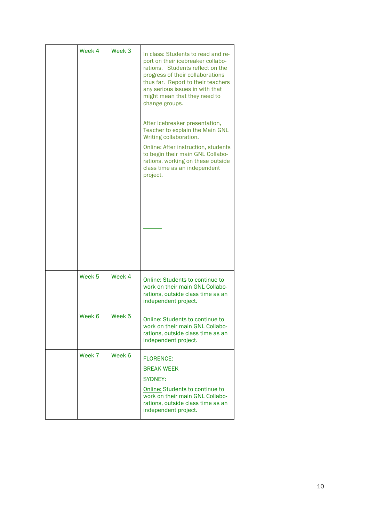| Week 4            | Week <sub>3</sub> | In class: Students to read and re-<br>port on their icebreaker collabo-<br>rations. Students reflect on the<br>progress of their collaborations<br>thus far. Report to their teachers<br>any serious issues in with that<br>might mean that they need to<br>change groups.<br>After Icebreaker presentation,<br>Teacher to explain the Main GNL<br>Writing collaboration.<br>Online: After instruction, students<br>to begin their main GNL Collabo-<br>rations, working on these outside<br>class time as an independent<br>project. |
|-------------------|-------------------|---------------------------------------------------------------------------------------------------------------------------------------------------------------------------------------------------------------------------------------------------------------------------------------------------------------------------------------------------------------------------------------------------------------------------------------------------------------------------------------------------------------------------------------|
| Week <sub>5</sub> | Week 4            | Online: Students to continue to<br>work on their main GNL Collabo-<br>rations, outside class time as an<br>independent project.                                                                                                                                                                                                                                                                                                                                                                                                       |
| Week 6            | Week <sub>5</sub> | Online: Students to continue to<br>work on their main GNL Collabo-<br>rations, outside class time as an<br>independent project.                                                                                                                                                                                                                                                                                                                                                                                                       |
| Week 7            | Week 6            | <b>FLORENCE:</b><br><b>BREAK WEEK</b><br><b>SYDNEY:</b><br>Online: Students to continue to<br>work on their main GNL Collabo-<br>rations, outside class time as an<br>independent project.                                                                                                                                                                                                                                                                                                                                            |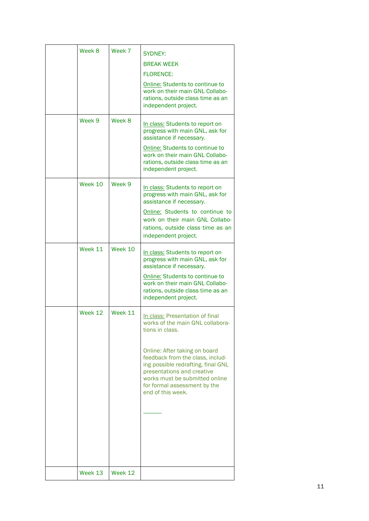| Week 8<br>Week 9 | Week 7<br>Week 8 | <b>SYDNEY:</b><br><b>BREAK WEEK</b><br><b>FLORENCE:</b><br>Online: Students to continue to<br>work on their main GNL Collabo-<br>rations, outside class time as an<br>independent project.<br>In class: Students to report on<br>progress with main GNL, ask for                                                       |
|------------------|------------------|------------------------------------------------------------------------------------------------------------------------------------------------------------------------------------------------------------------------------------------------------------------------------------------------------------------------|
|                  |                  | assistance if necessary.<br>Online: Students to continue to<br>work on their main GNL Collabo-<br>rations, outside class time as an<br>independent project.                                                                                                                                                            |
| Week 10          | Week 9           | In class: Students to report on<br>progress with main GNL, ask for<br>assistance if necessary.<br>Online: Students to continue to<br>work on their main GNL Collabo-<br>rations, outside class time as an<br>independent project.                                                                                      |
| Week 11          | Week 10          | In class: Students to report on<br>progress with main GNL, ask for<br>assistance if necessary.<br>Online: Students to continue to<br>work on their main GNL Collabo-<br>rations, outside class time as an<br>independent project.                                                                                      |
| Week 12          | Week 11          | In class: Presentation of final<br>works of the main GNL collabora-<br>tions in class.<br>Online: After taking on board<br>feedback from the class, includ-<br>ing possible redrafting, final GNL<br>presentations and creative<br>works must be submitted online<br>for formal assessment by the<br>end of this week. |
| Week 13          | Week 12          |                                                                                                                                                                                                                                                                                                                        |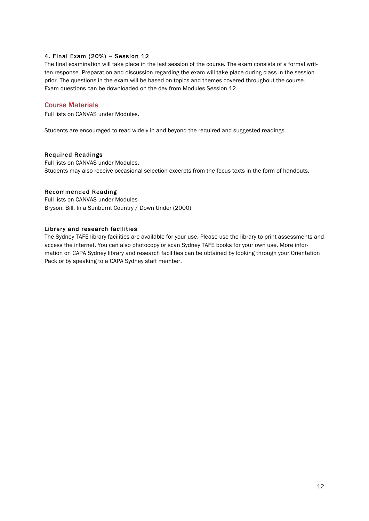# 4. Final Exam (20%) – Session 12

The final examination will take place in the last session of the course. The exam consists of a formal written response. Preparation and discussion regarding the exam will take place during class in the session prior. The questions in the exam will be based on topics and themes covered throughout the course. Exam questions can be downloaded on the day from Modules Session 12.

# Course Materials

Full lists on CANVAS under Modules.

Students are encouraged to read widely in and beyond the required and suggested readings.

### Required Readings

Full lists on CANVAS under Modules. Students may also receive occasional selection excerpts from the focus texts in the form of handouts.

## Recommended Reading

Full lists on CANVAS under Modules Bryson, Bill. In a Sunburnt Country / Down Under (2000).

### Library and research facilities

The Sydney TAFE library facilities are available for your use. Please use the library to print assessments and access the internet. You can also photocopy or scan Sydney TAFE books for your own use. More information on CAPA Sydney library and research facilities can be obtained by looking through your Orientation Pack or by speaking to a CAPA Sydney staff member.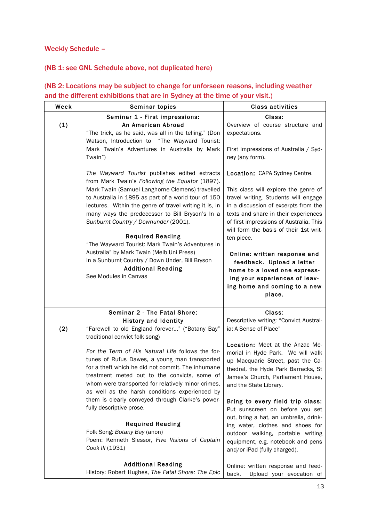Weekly Schedule –

# (NB 1: see GNL Schedule above, not duplicated here)

| Week | Seminar topics                                                                                                                                                                                                                                                                                                                                                                                                                                                                                                                                                                                                  | <b>Class activities</b>                                                                                                                                                                                                                                                                                                                                                                                                                                                           |
|------|-----------------------------------------------------------------------------------------------------------------------------------------------------------------------------------------------------------------------------------------------------------------------------------------------------------------------------------------------------------------------------------------------------------------------------------------------------------------------------------------------------------------------------------------------------------------------------------------------------------------|-----------------------------------------------------------------------------------------------------------------------------------------------------------------------------------------------------------------------------------------------------------------------------------------------------------------------------------------------------------------------------------------------------------------------------------------------------------------------------------|
| (1)  | Seminar 1 - First impressions:<br>An American Abroad<br>"The trick, as he said, was all in the telling." (Don<br>Watson, Introduction to "The Wayward Tourist:<br>Mark Twain's Adventures in Australia by Mark                                                                                                                                                                                                                                                                                                                                                                                                  | Class:<br>Overview of course structure and<br>expectations.<br>First Impressions of Australia / Syd-                                                                                                                                                                                                                                                                                                                                                                              |
|      | Twain")<br>The Wayward Tourist publishes edited extracts<br>from Mark Twain's Following the Equator (1897).<br>Mark Twain (Samuel Langhorne Clemens) travelled<br>to Australia in 1895 as part of a world tour of 150<br>lectures. Within the genre of travel writing it is, in<br>many ways the predecessor to Bill Bryson's In a<br>Sunburnt Country / Downunder (2001).<br><b>Required Reading</b><br>"The Wayward Tourist: Mark Twain's Adventures in<br>Australia" by Mark Twain (Melb Uni Press)<br>In a Sunburnt Country / Down Under, Bill Bryson<br><b>Additional Reading</b><br>See Modules in Canvas | ney (any form).<br>Location: CAPA Sydney Centre.<br>This class will explore the genre of<br>travel writing. Students will engage<br>in a discussion of excerpts from the<br>texts and share in their experiences<br>of first impressions of Australia. This<br>will form the basis of their 1st writ-<br>ten piece.<br>Online: written response and<br>feedback. Upload a letter<br>home to a loved one express-<br>ing your experiences of leav-<br>ing home and coming to a new |
|      | Seminar 2 - The Fatal Shore:<br><b>History and Identity</b>                                                                                                                                                                                                                                                                                                                                                                                                                                                                                                                                                     | place.<br>Class:<br>Descriptive writing: "Convict Austral-                                                                                                                                                                                                                                                                                                                                                                                                                        |
| (2)  | "Farewell to old England forever" ("Botany Bay"<br>traditional convict folk song)<br>For the Term of His Natural Life follows the for-<br>tunes of Rufus Dawes, a young man transported<br>for a theft which he did not commit. The inhumane<br>treatment meted out to the convicts, some of<br>whom were transported for relatively minor crimes,<br>as well as the harsh conditions experienced by<br>them is clearly conveyed through Clarke's power-<br>fully descriptive prose.<br><b>Required Reading</b>                                                                                                 | ia: A Sense of Place"<br>Location: Meet at the Anzac Me-<br>morial in Hyde Park. We will walk<br>up Macquarie Street, past the Ca-<br>thedral, the Hyde Park Barracks, St<br>James's Church, Parliament House,<br>and the State Library.<br>Bring to every field trip class:<br>Put sunscreen on before you set<br>out, bring a hat, an umbrella, drink-<br>ing water, clothes and shoes for                                                                                      |
|      | Folk Song: Botany Bay (anon)<br>Poem: Kenneth Slessor, Five Visions of Captain<br>Cook III (1931)<br><b>Additional Reading</b><br>History: Robert Hughes, The Fatal Shore: The Epic                                                                                                                                                                                                                                                                                                                                                                                                                             | outdoor walking, portable writing<br>equipment, e.g. notebook and pens<br>and/or iPad (fully charged).<br>Online: written response and feed-<br>back.<br>Upload your evocation of                                                                                                                                                                                                                                                                                                 |

# (NB 2: Locations may be subject to change for unforseen reasons, including weather and the different exhibitions that are in Sydney at the time of your visit.)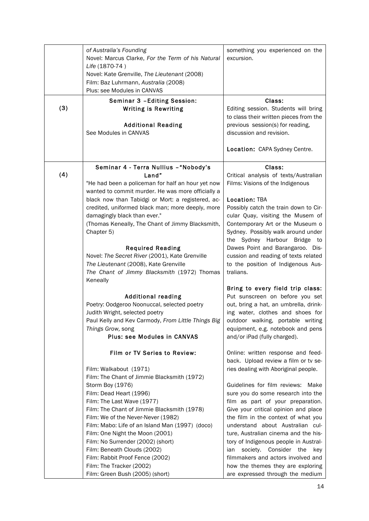| (3) | of Australia's Founding<br>Novel: Marcus Clarke, For the Term of his Natural<br>Life (1870-74)<br>Novel: Kate Grenville, The Lieutenant (2008)<br>Film: Baz Luhrmann, Australia (2008)<br>Plus: see Modules in CANVAS<br>Seminar 3 - Editing Session:<br><b>Writing is Rewriting</b><br><b>Additional Reading</b>                                                                                                                                                                                                                                                                                                                                                                                                        | something you experienced on the<br>excursion.<br>Class:<br>Editing session. Students will bring<br>to class their written pieces from the<br>previous session(s) for reading,                                                                                                                                                                                                                                                                                                                                                                                                                                                                                       |
|-----|--------------------------------------------------------------------------------------------------------------------------------------------------------------------------------------------------------------------------------------------------------------------------------------------------------------------------------------------------------------------------------------------------------------------------------------------------------------------------------------------------------------------------------------------------------------------------------------------------------------------------------------------------------------------------------------------------------------------------|----------------------------------------------------------------------------------------------------------------------------------------------------------------------------------------------------------------------------------------------------------------------------------------------------------------------------------------------------------------------------------------------------------------------------------------------------------------------------------------------------------------------------------------------------------------------------------------------------------------------------------------------------------------------|
|     | See Modules in CANVAS                                                                                                                                                                                                                                                                                                                                                                                                                                                                                                                                                                                                                                                                                                    | discussion and revision.<br>Location: CAPA Sydney Centre.                                                                                                                                                                                                                                                                                                                                                                                                                                                                                                                                                                                                            |
| (4) | Seminar 4 - Terra Nullius - "Nobody's<br>Land"<br>"He had been a policeman for half an hour yet now<br>wanted to commit murder. He was more officially a<br>black now than Tabidgi or Mort: a registered, ac-<br>credited, uniformed black man; more deeply, more<br>damagingly black than ever."<br>(Thomas Keneally, The Chant of Jimmy Blacksmith,<br>Chapter 5)<br><b>Required Reading</b><br>Novel: The Secret River (2001), Kate Grenville<br>The Lieutenant (2008), Kate Grenville<br>The Chant of Jimmy Blacksmith (1972) Thomas<br>Keneally<br><b>Additional reading</b><br>Poetry: Oodgeroo Noonuccal, selected poetry<br>Judith Wright, selected poetry<br>Paul Kelly and Kev Carmody, From Little Things Big | Class:<br>Critical analysis of texts/Australian<br>Films: Visions of the Indigenous<br><b>Location: TBA</b><br>Possibly catch the train down to Cir-<br>cular Quay, visiting the Musem of<br>Contemporary Art or the Museum o<br>Sydney. Possibly walk around under<br>the Sydney Harbour Bridge to<br>Dawes Point and Barangaroo. Dis-<br>cussion and reading of texts related<br>to the position of Indigenous Aus-<br>tralians.<br>Bring to every field trip class:<br>Put sunscreen on before you set<br>out, bring a hat, an umbrella, drink-<br>ing water, clothes and shoes for<br>outdoor walking, portable writing                                          |
|     | Things Grow, song<br><b>Plus: see Modules in CANVAS</b><br>Film or TV Series to Review:<br>Film: Walkabout (1971)<br>Film: The Chant of Jimmie Blacksmith (1972)<br>Storm Boy (1976)<br>Film: Dead Heart (1996)<br>Film: The Last Wave (1977)<br>Film: The Chant of Jimmie Blacksmith (1978)<br>Film: We of the Never-Never (1982)<br>Film: Mabo: Life of an Island Man (1997) (doco)<br>Film: One Night the Moon (2001)<br>Film: No Surrender (2002) (short)<br>Film: Beneath Clouds (2002)<br>Film: Rabbit Proof Fence (2002)<br>Film: The Tracker (2002)<br>Film: Green Bush (2005) (short)                                                                                                                           | equipment, e.g. notebook and pens<br>and/or iPad (fully charged).<br>Online: written response and feed-<br>back. Upload review a film or tv se-<br>ries dealing with Aboriginal people.<br>Guidelines for film reviews:<br>Make<br>sure you do some research into the<br>film as part of your preparation.<br>Give your critical opinion and place<br>the film in the context of what you<br>understand about Australian cul-<br>ture, Australian cinema and the his-<br>tory of Indigenous people in Austral-<br>society. Consider the<br>ian<br>key<br>filmmakers and actors involved and<br>how the themes they are exploring<br>are expressed through the medium |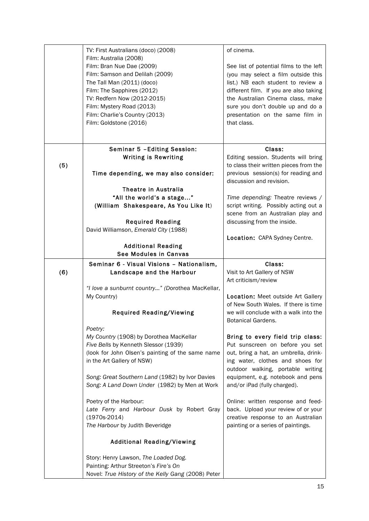|     | TV: First Australians (doco) (2008)                                                         | of cinema.                                                               |
|-----|---------------------------------------------------------------------------------------------|--------------------------------------------------------------------------|
|     | Film: Australia (2008)                                                                      |                                                                          |
|     | Film: Bran Nue Dae (2009)                                                                   | See list of potential films to the left                                  |
|     | Film: Samson and Delilah (2009)                                                             | (you may select a film outside this                                      |
|     | The Tall Man (2011) (doco)                                                                  | list.) NB each student to review a                                       |
|     | Film: The Sapphires (2012)                                                                  | different film. If you are also taking                                   |
|     | TV: Redfern Now (2012-2015)<br>Film: Mystery Road (2013)                                    | the Australian Cinema class, make<br>sure you don't double up and do a   |
|     | Film: Charlie's Country (2013)                                                              | presentation on the same film in                                         |
|     | Film: Goldstone (2016)                                                                      | that class.                                                              |
|     |                                                                                             |                                                                          |
|     |                                                                                             |                                                                          |
|     | Seminar 5 - Editing Session:                                                                | Class:                                                                   |
|     | <b>Writing is Rewriting</b>                                                                 | Editing session. Students will bring                                     |
| (5) |                                                                                             | to class their written pieces from the                                   |
|     | Time depending, we may also consider:                                                       | previous session(s) for reading and<br>discussion and revision.          |
|     | <b>Theatre in Australia</b>                                                                 |                                                                          |
|     | "All the world's a stage"                                                                   | Time depending: Theatre reviews /                                        |
|     | (William Shakespeare, As You Like It)                                                       | script writing. Possibly acting out a                                    |
|     |                                                                                             | scene from an Australian play and                                        |
|     | <b>Required Reading</b>                                                                     | discussing from the inside.                                              |
|     | David Williamson, Emerald City (1988)                                                       |                                                                          |
|     |                                                                                             | Location: CAPA Sydney Centre.                                            |
|     | <b>Additional Reading</b>                                                                   |                                                                          |
|     | See Modules in Canvas                                                                       |                                                                          |
|     |                                                                                             |                                                                          |
|     | Seminar 6 - Visual Visions - Nationalism,                                                   | Class:                                                                   |
| (6) | Landscape and the Harbour                                                                   | Visit to Art Gallery of NSW                                              |
|     |                                                                                             | Art criticism/review                                                     |
|     | "I love a sunburnt country" (Dorothea MacKellar,                                            |                                                                          |
|     | My Country)                                                                                 | Location: Meet outside Art Gallery                                       |
|     |                                                                                             | of New South Wales. If there is time                                     |
|     | <b>Required Reading/Viewing</b>                                                             | we will conclude with a walk into the                                    |
|     |                                                                                             | Botanical Gardens.                                                       |
|     | Poetry:                                                                                     |                                                                          |
|     | My Country (1908) by Dorothea MacKellar                                                     | Bring to every field trip class:                                         |
|     | Five Bells by Kenneth Slessor (1939)                                                        | Put sunscreen on before you set                                          |
|     | (look for John Olsen's painting of the same name                                            | out, bring a hat, an umbrella, drink-                                    |
|     | in the Art Gallery of NSW)                                                                  | ing water, clothes and shoes for                                         |
|     | Song: Great Southern Land (1982) by Ivor Davies                                             | outdoor walking, portable writing<br>equipment, e.g. notebook and pens   |
|     | Song: A Land Down Under (1982) by Men at Work                                               | and/or iPad (fully charged).                                             |
|     |                                                                                             |                                                                          |
|     | Poetry of the Harbour:                                                                      | Online: written response and feed-                                       |
|     | Late Ferry and Harbour Dusk by Robert Gray                                                  | back. Upload your review of or your                                      |
|     | $(1970s-2014)$<br>The Harbour by Judith Beveridge                                           | creative response to an Australian<br>painting or a series of paintings. |
|     | <b>Additional Reading/Viewing</b>                                                           |                                                                          |
|     |                                                                                             |                                                                          |
|     | Story: Henry Lawson, The Loaded Dog.                                                        |                                                                          |
|     | Painting: Arthur Streeton's Fire's On<br>Novel: True History of the Kelly Gang (2008) Peter |                                                                          |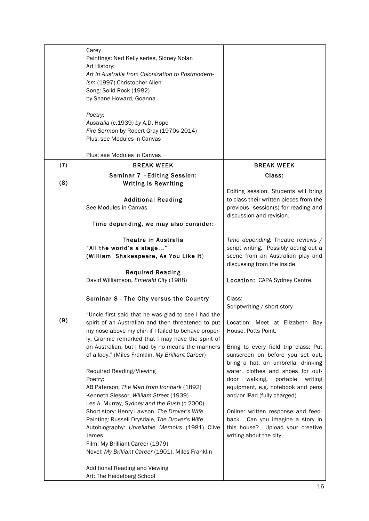|     | Carey<br>Paintings: Ned Kelly series, Sidney Nolan<br>Art History:<br>Art in Australia from Colonization to Postmodern-<br>ism (1997) Christopher Allen<br>Song: Solid Rock (1982)<br>by Shane Howard, Goanna<br>Poetry:<br>Australia (c.1939) by A.D. Hope<br>Fire Sermon by Robert Gray (1970s-2014)<br>Plus: see Modules in Canvas                                                                                                                                                                                                                                                                                                                                                                                                                                                                                                        |                                                                                                                                                                                                                                                                                                                                                                                                                                     |
|-----|----------------------------------------------------------------------------------------------------------------------------------------------------------------------------------------------------------------------------------------------------------------------------------------------------------------------------------------------------------------------------------------------------------------------------------------------------------------------------------------------------------------------------------------------------------------------------------------------------------------------------------------------------------------------------------------------------------------------------------------------------------------------------------------------------------------------------------------------|-------------------------------------------------------------------------------------------------------------------------------------------------------------------------------------------------------------------------------------------------------------------------------------------------------------------------------------------------------------------------------------------------------------------------------------|
|     | Plus: see Modules in Canvas                                                                                                                                                                                                                                                                                                                                                                                                                                                                                                                                                                                                                                                                                                                                                                                                                  |                                                                                                                                                                                                                                                                                                                                                                                                                                     |
| (7) | <b>BREAK WEEK</b>                                                                                                                                                                                                                                                                                                                                                                                                                                                                                                                                                                                                                                                                                                                                                                                                                            | <b>BREAK WEEK</b>                                                                                                                                                                                                                                                                                                                                                                                                                   |
| (8) | Seminar 7 - Editing Session:<br><b>Writing is Rewriting</b>                                                                                                                                                                                                                                                                                                                                                                                                                                                                                                                                                                                                                                                                                                                                                                                  | Class:                                                                                                                                                                                                                                                                                                                                                                                                                              |
|     | <b>Additional Reading</b><br>See Modules in Canvas<br>Time depending, we may also consider:                                                                                                                                                                                                                                                                                                                                                                                                                                                                                                                                                                                                                                                                                                                                                  | Editing session. Students will bring<br>to class their written pieces from the<br>previous session(s) for reading and<br>discussion and revision.                                                                                                                                                                                                                                                                                   |
|     | Theatre in Australia<br>"All the world's a stage"<br>(William Shakespeare, As You Like It)<br><b>Required Reading</b>                                                                                                                                                                                                                                                                                                                                                                                                                                                                                                                                                                                                                                                                                                                        | Time depending: Theatre reviews /<br>script writing. Possibly acting out a<br>scene from an Australian play and<br>discussing from the inside.                                                                                                                                                                                                                                                                                      |
|     | David Williamson, Emerald City (1988)                                                                                                                                                                                                                                                                                                                                                                                                                                                                                                                                                                                                                                                                                                                                                                                                        | Location: CAPA Sydney Centre.                                                                                                                                                                                                                                                                                                                                                                                                       |
|     | Seminar 8 - The City versus the Country                                                                                                                                                                                                                                                                                                                                                                                                                                                                                                                                                                                                                                                                                                                                                                                                      | Class:<br>Scriptwriting / short story                                                                                                                                                                                                                                                                                                                                                                                               |
| (9) | "Uncle first said that he was glad to see I had the<br>spirit of an Australian and then threatened to put   Location: Meet at Elizabeth Bay<br>my nose above my chin if I failed to behave proper-<br>ly. Grannie remarked that I may have the spirit of<br>an Australian, but I had by no means the manners<br>of a lady." (Miles Franklin, My Brilliant Career)<br>Required Reading/Viewing<br>Poetry:<br>AB Paterson, The Man from Ironbark (1892)<br>Kenneth Slessor, William Street (1939)<br>Les A. Murray, Sydney and the Bush (c 2000)<br>Short story: Henry Lawson, The Drover's Wife<br>Painting: Russell Drysdale, The Drover's Wife<br>Autobiography: Unreliable Memoirs (1981) Clive<br>James<br>Film: My Brilliant Career (1979)<br>Novel: My Brilliant Career (1901), Miles Franklin<br><b>Additional Reading and Viewing</b> | House, Potts Point.<br>Bring to every field trip class: Put<br>sunscreen on before you set out,<br>bring a hat, an umbrella, drinking<br>water, clothes and shoes for out-<br>door<br>walking,<br>portable<br>writing<br>equipment, e.g. notebook and pens<br>and/or iPad (fully charged).<br>Online: written response and feed-<br>back. Can you imagine a story in<br>this house? Upload your creative<br>writing about the city. |
|     | Art: The Heidelberg School                                                                                                                                                                                                                                                                                                                                                                                                                                                                                                                                                                                                                                                                                                                                                                                                                   |                                                                                                                                                                                                                                                                                                                                                                                                                                     |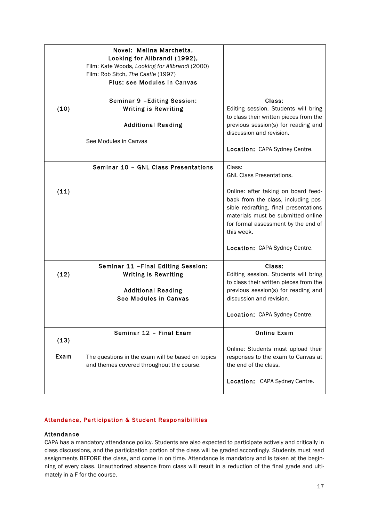|              | Novel: Melina Marchetta,<br>Looking for Alibrandi (1992),<br>Film: Kate Woods, Looking for Alibrandi (2000)<br>Film: Rob Sitch, The Castle (1997)<br><b>Plus: see Modules in Canvas</b> |                                                                                                                                                                                                                                                                                              |
|--------------|-----------------------------------------------------------------------------------------------------------------------------------------------------------------------------------------|----------------------------------------------------------------------------------------------------------------------------------------------------------------------------------------------------------------------------------------------------------------------------------------------|
| (10)         | Seminar 9 - Editing Session:<br><b>Writing is Rewriting</b><br><b>Additional Reading</b><br>See Modules in Canvas                                                                       | Class:<br>Editing session. Students will bring<br>to class their written pieces from the<br>previous session(s) for reading and<br>discussion and revision.<br>Location: CAPA Sydney Centre.                                                                                                 |
| (11)         | Seminar 10 - GNL Class Presentations                                                                                                                                                    | Class:<br><b>GNL Class Presentations.</b><br>Online: after taking on board feed-<br>back from the class, including pos-<br>sible redrafting, final presentations<br>materials must be submitted online<br>for formal assessment by the end of<br>this week.<br>Location: CAPA Sydney Centre. |
| (12)         | Seminar 11 - Final Editing Session:<br><b>Writing is Rewriting</b><br><b>Additional Reading</b><br>See Modules in Canvas                                                                | Class:<br>Editing session. Students will bring<br>to class their written pieces from the<br>previous session(s) for reading and<br>discussion and revision.<br>Location: CAPA Sydney Centre.                                                                                                 |
| (13)<br>Exam | Seminar 12 - Final Exam<br>The questions in the exam will be based on topics<br>and themes covered throughout the course.                                                               | <b>Online Exam</b><br>Online: Students must upload their<br>responses to the exam to Canvas at<br>the end of the class.<br>Location: CAPA Sydney Centre.                                                                                                                                     |

# Attendance, Participation & Student Responsibilities

## Attendance

CAPA has a mandatory attendance policy. Students are also expected to participate actively and critically in class discussions, and the participation portion of the class will be graded accordingly. Students must read assignments BEFORE the class, and come in on time. Attendance is mandatory and is taken at the beginning of every class. Unauthorized absence from class will result in a reduction of the final grade and ultimately in a F for the course.